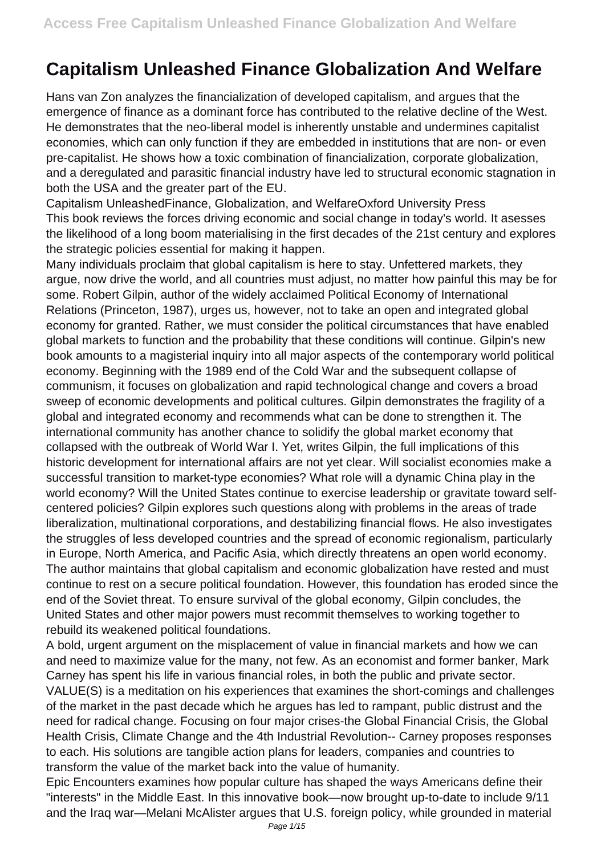## **Capitalism Unleashed Finance Globalization And Welfare**

Hans van Zon analyzes the financialization of developed capitalism, and argues that the emergence of finance as a dominant force has contributed to the relative decline of the West. He demonstrates that the neo-liberal model is inherently unstable and undermines capitalist economies, which can only function if they are embedded in institutions that are non- or even pre-capitalist. He shows how a toxic combination of financialization, corporate globalization, and a deregulated and parasitic financial industry have led to structural economic stagnation in both the USA and the greater part of the EU.

Capitalism UnleashedFinance, Globalization, and WelfareOxford University Press This book reviews the forces driving economic and social change in today's world. It asesses the likelihood of a long boom materialising in the first decades of the 21st century and explores the strategic policies essential for making it happen.

Many individuals proclaim that global capitalism is here to stay. Unfettered markets, they argue, now drive the world, and all countries must adjust, no matter how painful this may be for some. Robert Gilpin, author of the widely acclaimed Political Economy of International Relations (Princeton, 1987), urges us, however, not to take an open and integrated global economy for granted. Rather, we must consider the political circumstances that have enabled global markets to function and the probability that these conditions will continue. Gilpin's new book amounts to a magisterial inquiry into all major aspects of the contemporary world political economy. Beginning with the 1989 end of the Cold War and the subsequent collapse of communism, it focuses on globalization and rapid technological change and covers a broad sweep of economic developments and political cultures. Gilpin demonstrates the fragility of a global and integrated economy and recommends what can be done to strengthen it. The international community has another chance to solidify the global market economy that collapsed with the outbreak of World War I. Yet, writes Gilpin, the full implications of this historic development for international affairs are not yet clear. Will socialist economies make a successful transition to market-type economies? What role will a dynamic China play in the world economy? Will the United States continue to exercise leadership or gravitate toward selfcentered policies? Gilpin explores such questions along with problems in the areas of trade liberalization, multinational corporations, and destabilizing financial flows. He also investigates the struggles of less developed countries and the spread of economic regionalism, particularly in Europe, North America, and Pacific Asia, which directly threatens an open world economy. The author maintains that global capitalism and economic globalization have rested and must continue to rest on a secure political foundation. However, this foundation has eroded since the end of the Soviet threat. To ensure survival of the global economy, Gilpin concludes, the United States and other major powers must recommit themselves to working together to rebuild its weakened political foundations.

A bold, urgent argument on the misplacement of value in financial markets and how we can and need to maximize value for the many, not few. As an economist and former banker, Mark Carney has spent his life in various financial roles, in both the public and private sector. VALUE(S) is a meditation on his experiences that examines the short-comings and challenges of the market in the past decade which he argues has led to rampant, public distrust and the need for radical change. Focusing on four major crises-the Global Financial Crisis, the Global Health Crisis, Climate Change and the 4th Industrial Revolution-- Carney proposes responses to each. His solutions are tangible action plans for leaders, companies and countries to transform the value of the market back into the value of humanity.

Epic Encounters examines how popular culture has shaped the ways Americans define their "interests" in the Middle East. In this innovative book—now brought up-to-date to include 9/11 and the Iraq war—Melani McAlister argues that U.S. foreign policy, while grounded in material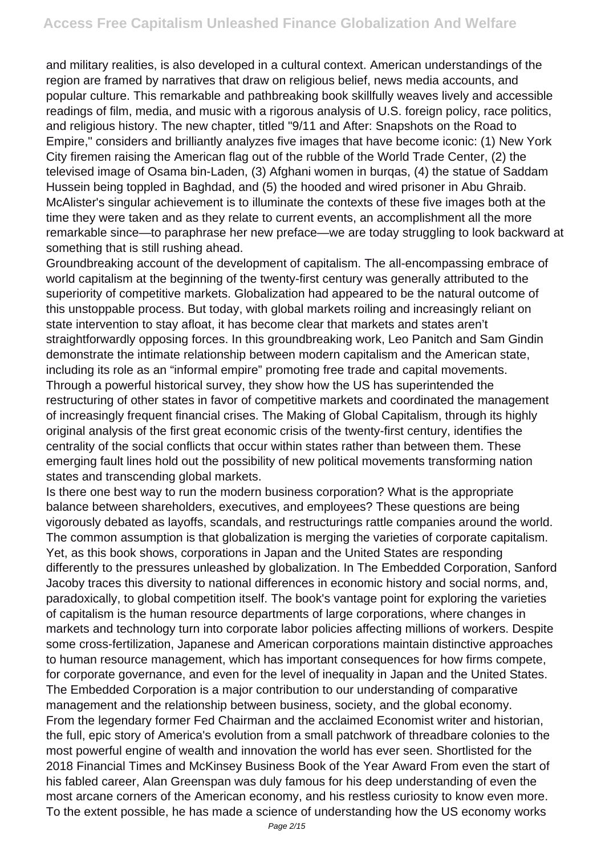and military realities, is also developed in a cultural context. American understandings of the region are framed by narratives that draw on religious belief, news media accounts, and popular culture. This remarkable and pathbreaking book skillfully weaves lively and accessible readings of film, media, and music with a rigorous analysis of U.S. foreign policy, race politics, and religious history. The new chapter, titled "9/11 and After: Snapshots on the Road to Empire," considers and brilliantly analyzes five images that have become iconic: (1) New York City firemen raising the American flag out of the rubble of the World Trade Center, (2) the televised image of Osama bin-Laden, (3) Afghani women in burqas, (4) the statue of Saddam Hussein being toppled in Baghdad, and (5) the hooded and wired prisoner in Abu Ghraib. McAlister's singular achievement is to illuminate the contexts of these five images both at the time they were taken and as they relate to current events, an accomplishment all the more remarkable since—to paraphrase her new preface—we are today struggling to look backward at something that is still rushing ahead.

Groundbreaking account of the development of capitalism. The all-encompassing embrace of world capitalism at the beginning of the twenty-first century was generally attributed to the superiority of competitive markets. Globalization had appeared to be the natural outcome of this unstoppable process. But today, with global markets roiling and increasingly reliant on state intervention to stay afloat, it has become clear that markets and states aren't straightforwardly opposing forces. In this groundbreaking work, Leo Panitch and Sam Gindin demonstrate the intimate relationship between modern capitalism and the American state, including its role as an "informal empire" promoting free trade and capital movements. Through a powerful historical survey, they show how the US has superintended the restructuring of other states in favor of competitive markets and coordinated the management of increasingly frequent financial crises. The Making of Global Capitalism, through its highly original analysis of the first great economic crisis of the twenty-first century, identifies the centrality of the social conflicts that occur within states rather than between them. These emerging fault lines hold out the possibility of new political movements transforming nation states and transcending global markets.

Is there one best way to run the modern business corporation? What is the appropriate balance between shareholders, executives, and employees? These questions are being vigorously debated as layoffs, scandals, and restructurings rattle companies around the world. The common assumption is that globalization is merging the varieties of corporate capitalism. Yet, as this book shows, corporations in Japan and the United States are responding differently to the pressures unleashed by globalization. In The Embedded Corporation, Sanford Jacoby traces this diversity to national differences in economic history and social norms, and, paradoxically, to global competition itself. The book's vantage point for exploring the varieties of capitalism is the human resource departments of large corporations, where changes in markets and technology turn into corporate labor policies affecting millions of workers. Despite some cross-fertilization, Japanese and American corporations maintain distinctive approaches to human resource management, which has important consequences for how firms compete, for corporate governance, and even for the level of inequality in Japan and the United States. The Embedded Corporation is a major contribution to our understanding of comparative management and the relationship between business, society, and the global economy. From the legendary former Fed Chairman and the acclaimed Economist writer and historian, the full, epic story of America's evolution from a small patchwork of threadbare colonies to the most powerful engine of wealth and innovation the world has ever seen. Shortlisted for the 2018 Financial Times and McKinsey Business Book of the Year Award From even the start of his fabled career, Alan Greenspan was duly famous for his deep understanding of even the most arcane corners of the American economy, and his restless curiosity to know even more. To the extent possible, he has made a science of understanding how the US economy works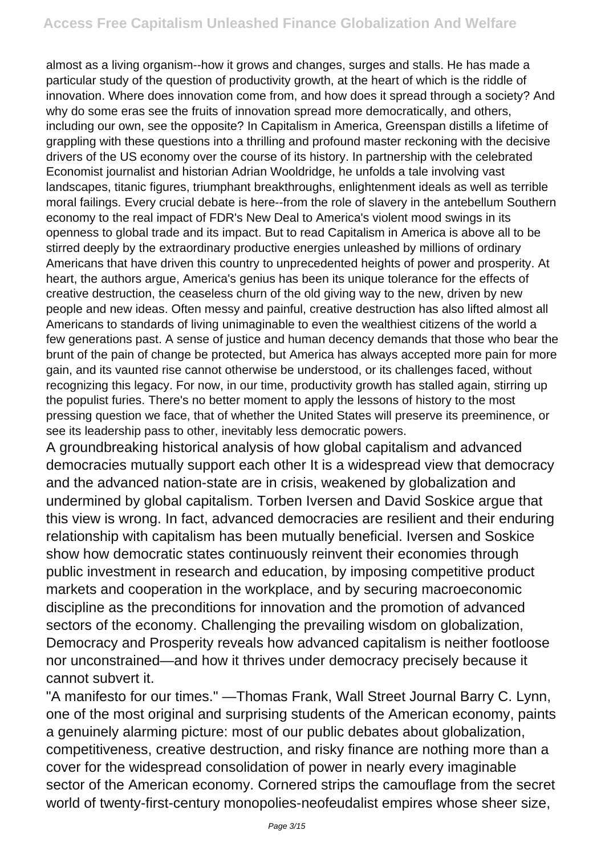almost as a living organism--how it grows and changes, surges and stalls. He has made a particular study of the question of productivity growth, at the heart of which is the riddle of innovation. Where does innovation come from, and how does it spread through a society? And why do some eras see the fruits of innovation spread more democratically, and others, including our own, see the opposite? In Capitalism in America, Greenspan distills a lifetime of grappling with these questions into a thrilling and profound master reckoning with the decisive drivers of the US economy over the course of its history. In partnership with the celebrated Economist journalist and historian Adrian Wooldridge, he unfolds a tale involving vast landscapes, titanic figures, triumphant breakthroughs, enlightenment ideals as well as terrible moral failings. Every crucial debate is here--from the role of slavery in the antebellum Southern economy to the real impact of FDR's New Deal to America's violent mood swings in its openness to global trade and its impact. But to read Capitalism in America is above all to be stirred deeply by the extraordinary productive energies unleashed by millions of ordinary Americans that have driven this country to unprecedented heights of power and prosperity. At heart, the authors argue, America's genius has been its unique tolerance for the effects of creative destruction, the ceaseless churn of the old giving way to the new, driven by new people and new ideas. Often messy and painful, creative destruction has also lifted almost all Americans to standards of living unimaginable to even the wealthiest citizens of the world a few generations past. A sense of justice and human decency demands that those who bear the brunt of the pain of change be protected, but America has always accepted more pain for more gain, and its vaunted rise cannot otherwise be understood, or its challenges faced, without recognizing this legacy. For now, in our time, productivity growth has stalled again, stirring up the populist furies. There's no better moment to apply the lessons of history to the most pressing question we face, that of whether the United States will preserve its preeminence, or see its leadership pass to other, inevitably less democratic powers.

A groundbreaking historical analysis of how global capitalism and advanced democracies mutually support each other It is a widespread view that democracy and the advanced nation-state are in crisis, weakened by globalization and undermined by global capitalism. Torben Iversen and David Soskice argue that this view is wrong. In fact, advanced democracies are resilient and their enduring relationship with capitalism has been mutually beneficial. Iversen and Soskice show how democratic states continuously reinvent their economies through public investment in research and education, by imposing competitive product markets and cooperation in the workplace, and by securing macroeconomic discipline as the preconditions for innovation and the promotion of advanced sectors of the economy. Challenging the prevailing wisdom on globalization, Democracy and Prosperity reveals how advanced capitalism is neither footloose nor unconstrained—and how it thrives under democracy precisely because it cannot subvert it.

"A manifesto for our times." —Thomas Frank, Wall Street Journal Barry C. Lynn, one of the most original and surprising students of the American economy, paints a genuinely alarming picture: most of our public debates about globalization, competitiveness, creative destruction, and risky finance are nothing more than a cover for the widespread consolidation of power in nearly every imaginable sector of the American economy. Cornered strips the camouflage from the secret world of twenty-first-century monopolies-neofeudalist empires whose sheer size,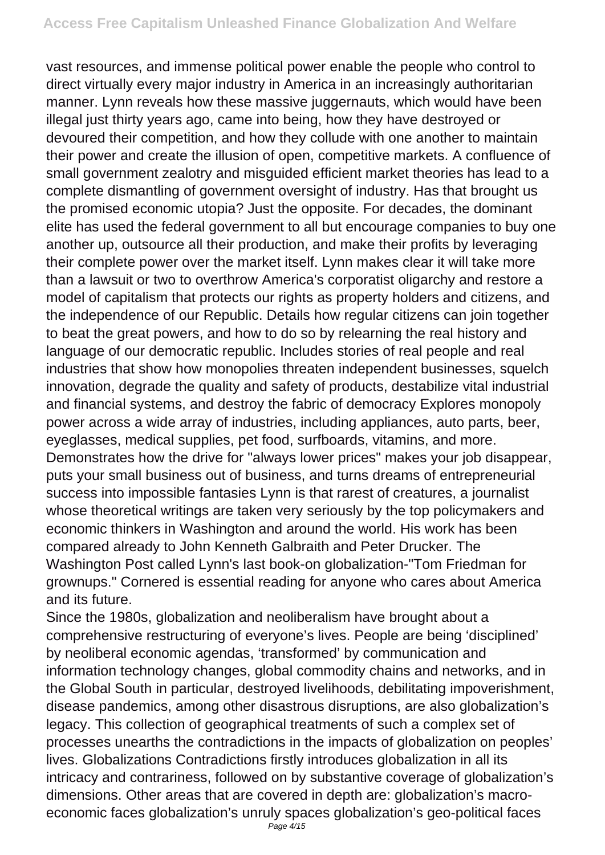vast resources, and immense political power enable the people who control to direct virtually every major industry in America in an increasingly authoritarian manner. Lynn reveals how these massive juggernauts, which would have been illegal just thirty years ago, came into being, how they have destroyed or devoured their competition, and how they collude with one another to maintain their power and create the illusion of open, competitive markets. A confluence of small government zealotry and misguided efficient market theories has lead to a complete dismantling of government oversight of industry. Has that brought us the promised economic utopia? Just the opposite. For decades, the dominant elite has used the federal government to all but encourage companies to buy one another up, outsource all their production, and make their profits by leveraging their complete power over the market itself. Lynn makes clear it will take more than a lawsuit or two to overthrow America's corporatist oligarchy and restore a model of capitalism that protects our rights as property holders and citizens, and the independence of our Republic. Details how regular citizens can join together to beat the great powers, and how to do so by relearning the real history and language of our democratic republic. Includes stories of real people and real industries that show how monopolies threaten independent businesses, squelch innovation, degrade the quality and safety of products, destabilize vital industrial and financial systems, and destroy the fabric of democracy Explores monopoly power across a wide array of industries, including appliances, auto parts, beer, eyeglasses, medical supplies, pet food, surfboards, vitamins, and more. Demonstrates how the drive for "always lower prices" makes your job disappear, puts your small business out of business, and turns dreams of entrepreneurial success into impossible fantasies Lynn is that rarest of creatures, a journalist whose theoretical writings are taken very seriously by the top policymakers and economic thinkers in Washington and around the world. His work has been compared already to John Kenneth Galbraith and Peter Drucker. The Washington Post called Lynn's last book-on globalization-"Tom Friedman for grownups." Cornered is essential reading for anyone who cares about America and its future.

Since the 1980s, globalization and neoliberalism have brought about a comprehensive restructuring of everyone's lives. People are being 'disciplined' by neoliberal economic agendas, 'transformed' by communication and information technology changes, global commodity chains and networks, and in the Global South in particular, destroyed livelihoods, debilitating impoverishment, disease pandemics, among other disastrous disruptions, are also globalization's legacy. This collection of geographical treatments of such a complex set of processes unearths the contradictions in the impacts of globalization on peoples' lives. Globalizations Contradictions firstly introduces globalization in all its intricacy and contrariness, followed on by substantive coverage of globalization's dimensions. Other areas that are covered in depth are: globalization's macroeconomic faces globalization's unruly spaces globalization's geo-political faces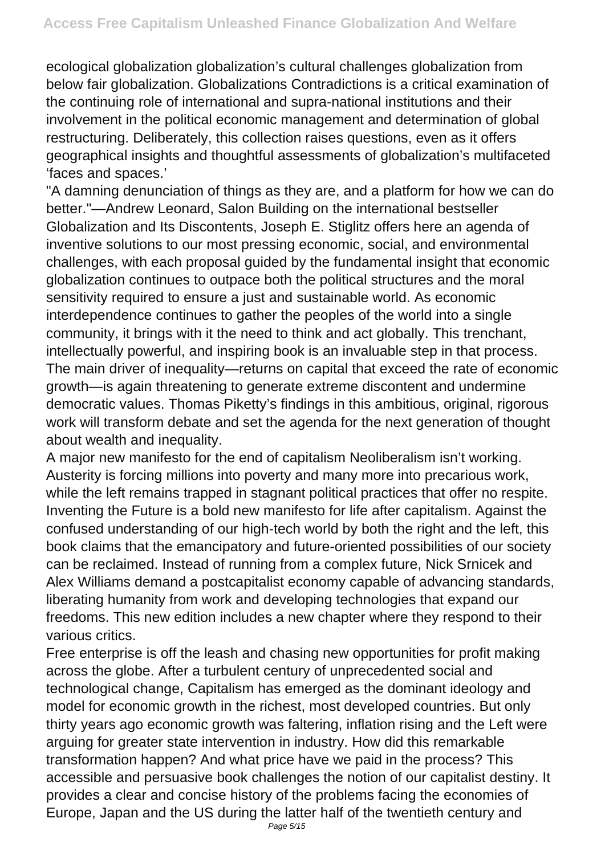ecological globalization globalization's cultural challenges globalization from below fair globalization. Globalizations Contradictions is a critical examination of the continuing role of international and supra-national institutions and their involvement in the political economic management and determination of global restructuring. Deliberately, this collection raises questions, even as it offers geographical insights and thoughtful assessments of globalization's multifaceted 'faces and spaces.'

"A damning denunciation of things as they are, and a platform for how we can do better."—Andrew Leonard, Salon Building on the international bestseller Globalization and Its Discontents, Joseph E. Stiglitz offers here an agenda of inventive solutions to our most pressing economic, social, and environmental challenges, with each proposal guided by the fundamental insight that economic globalization continues to outpace both the political structures and the moral sensitivity required to ensure a just and sustainable world. As economic interdependence continues to gather the peoples of the world into a single community, it brings with it the need to think and act globally. This trenchant, intellectually powerful, and inspiring book is an invaluable step in that process. The main driver of inequality—returns on capital that exceed the rate of economic growth—is again threatening to generate extreme discontent and undermine democratic values. Thomas Piketty's findings in this ambitious, original, rigorous work will transform debate and set the agenda for the next generation of thought about wealth and inequality.

A major new manifesto for the end of capitalism Neoliberalism isn't working. Austerity is forcing millions into poverty and many more into precarious work, while the left remains trapped in stagnant political practices that offer no respite. Inventing the Future is a bold new manifesto for life after capitalism. Against the confused understanding of our high-tech world by both the right and the left, this book claims that the emancipatory and future-oriented possibilities of our society can be reclaimed. Instead of running from a complex future, Nick Srnicek and Alex Williams demand a postcapitalist economy capable of advancing standards, liberating humanity from work and developing technologies that expand our freedoms. This new edition includes a new chapter where they respond to their various critics.

Free enterprise is off the leash and chasing new opportunities for profit making across the globe. After a turbulent century of unprecedented social and technological change, Capitalism has emerged as the dominant ideology and model for economic growth in the richest, most developed countries. But only thirty years ago economic growth was faltering, inflation rising and the Left were arguing for greater state intervention in industry. How did this remarkable transformation happen? And what price have we paid in the process? This accessible and persuasive book challenges the notion of our capitalist destiny. It provides a clear and concise history of the problems facing the economies of Europe, Japan and the US during the latter half of the twentieth century and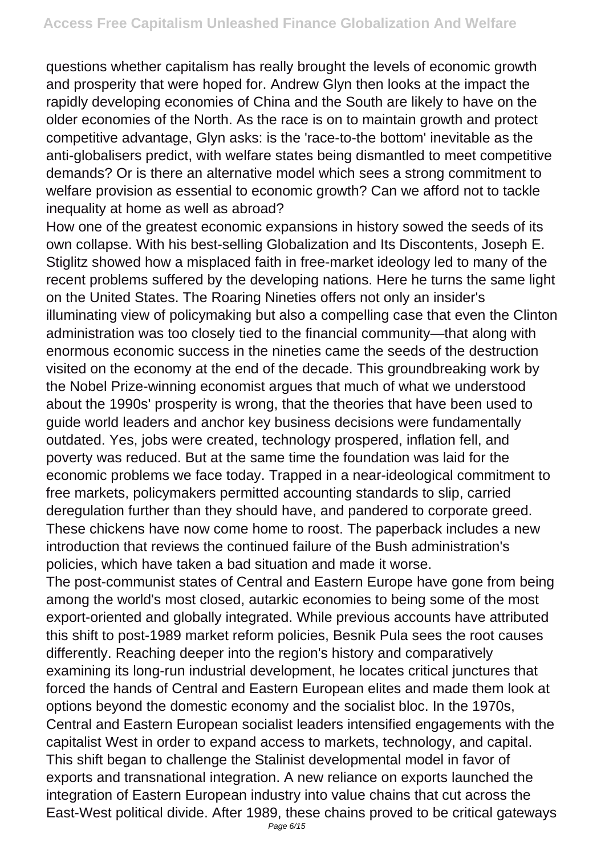questions whether capitalism has really brought the levels of economic growth and prosperity that were hoped for. Andrew Glyn then looks at the impact the rapidly developing economies of China and the South are likely to have on the older economies of the North. As the race is on to maintain growth and protect competitive advantage, Glyn asks: is the 'race-to-the bottom' inevitable as the anti-globalisers predict, with welfare states being dismantled to meet competitive demands? Or is there an alternative model which sees a strong commitment to welfare provision as essential to economic growth? Can we afford not to tackle inequality at home as well as abroad?

How one of the greatest economic expansions in history sowed the seeds of its own collapse. With his best-selling Globalization and Its Discontents, Joseph E. Stiglitz showed how a misplaced faith in free-market ideology led to many of the recent problems suffered by the developing nations. Here he turns the same light on the United States. The Roaring Nineties offers not only an insider's illuminating view of policymaking but also a compelling case that even the Clinton administration was too closely tied to the financial community—that along with enormous economic success in the nineties came the seeds of the destruction visited on the economy at the end of the decade. This groundbreaking work by the Nobel Prize-winning economist argues that much of what we understood about the 1990s' prosperity is wrong, that the theories that have been used to guide world leaders and anchor key business decisions were fundamentally outdated. Yes, jobs were created, technology prospered, inflation fell, and poverty was reduced. But at the same time the foundation was laid for the economic problems we face today. Trapped in a near-ideological commitment to free markets, policymakers permitted accounting standards to slip, carried deregulation further than they should have, and pandered to corporate greed. These chickens have now come home to roost. The paperback includes a new introduction that reviews the continued failure of the Bush administration's policies, which have taken a bad situation and made it worse.

The post-communist states of Central and Eastern Europe have gone from being among the world's most closed, autarkic economies to being some of the most export-oriented and globally integrated. While previous accounts have attributed this shift to post-1989 market reform policies, Besnik Pula sees the root causes differently. Reaching deeper into the region's history and comparatively examining its long-run industrial development, he locates critical junctures that forced the hands of Central and Eastern European elites and made them look at options beyond the domestic economy and the socialist bloc. In the 1970s, Central and Eastern European socialist leaders intensified engagements with the capitalist West in order to expand access to markets, technology, and capital. This shift began to challenge the Stalinist developmental model in favor of exports and transnational integration. A new reliance on exports launched the integration of Eastern European industry into value chains that cut across the East-West political divide. After 1989, these chains proved to be critical gateways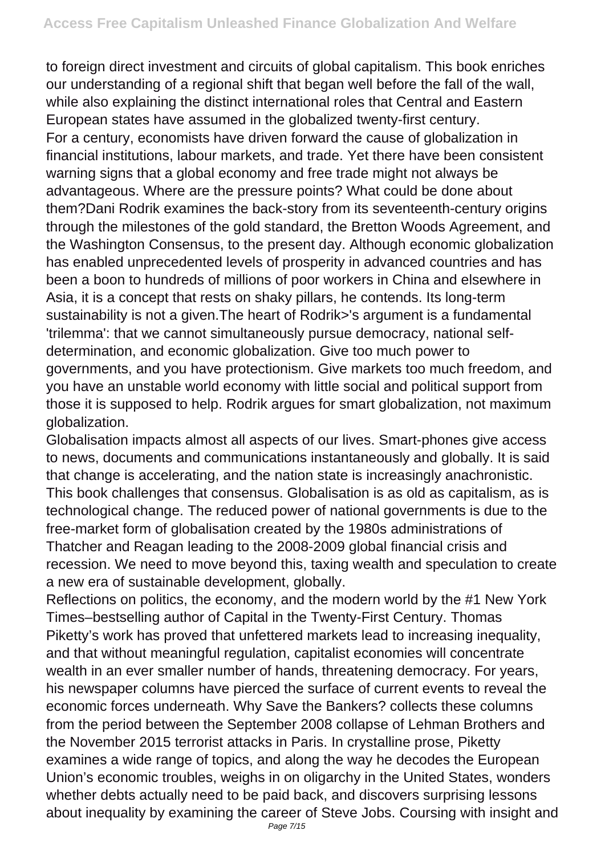to foreign direct investment and circuits of global capitalism. This book enriches our understanding of a regional shift that began well before the fall of the wall, while also explaining the distinct international roles that Central and Eastern European states have assumed in the globalized twenty-first century. For a century, economists have driven forward the cause of globalization in financial institutions, labour markets, and trade. Yet there have been consistent warning signs that a global economy and free trade might not always be advantageous. Where are the pressure points? What could be done about them?Dani Rodrik examines the back-story from its seventeenth-century origins through the milestones of the gold standard, the Bretton Woods Agreement, and the Washington Consensus, to the present day. Although economic globalization has enabled unprecedented levels of prosperity in advanced countries and has been a boon to hundreds of millions of poor workers in China and elsewhere in Asia, it is a concept that rests on shaky pillars, he contends. Its long-term sustainability is not a given.The heart of Rodrik>'s argument is a fundamental 'trilemma': that we cannot simultaneously pursue democracy, national selfdetermination, and economic globalization. Give too much power to governments, and you have protectionism. Give markets too much freedom, and you have an unstable world economy with little social and political support from those it is supposed to help. Rodrik argues for smart globalization, not maximum globalization.

Globalisation impacts almost all aspects of our lives. Smart-phones give access to news, documents and communications instantaneously and globally. It is said that change is accelerating, and the nation state is increasingly anachronistic. This book challenges that consensus. Globalisation is as old as capitalism, as is technological change. The reduced power of national governments is due to the free-market form of globalisation created by the 1980s administrations of Thatcher and Reagan leading to the 2008-2009 global financial crisis and recession. We need to move beyond this, taxing wealth and speculation to create a new era of sustainable development, globally.

Reflections on politics, the economy, and the modern world by the #1 New York Times–bestselling author of Capital in the Twenty-First Century. Thomas Piketty's work has proved that unfettered markets lead to increasing inequality, and that without meaningful regulation, capitalist economies will concentrate wealth in an ever smaller number of hands, threatening democracy. For years, his newspaper columns have pierced the surface of current events to reveal the economic forces underneath. Why Save the Bankers? collects these columns from the period between the September 2008 collapse of Lehman Brothers and the November 2015 terrorist attacks in Paris. In crystalline prose, Piketty examines a wide range of topics, and along the way he decodes the European Union's economic troubles, weighs in on oligarchy in the United States, wonders whether debts actually need to be paid back, and discovers surprising lessons about inequality by examining the career of Steve Jobs. Coursing with insight and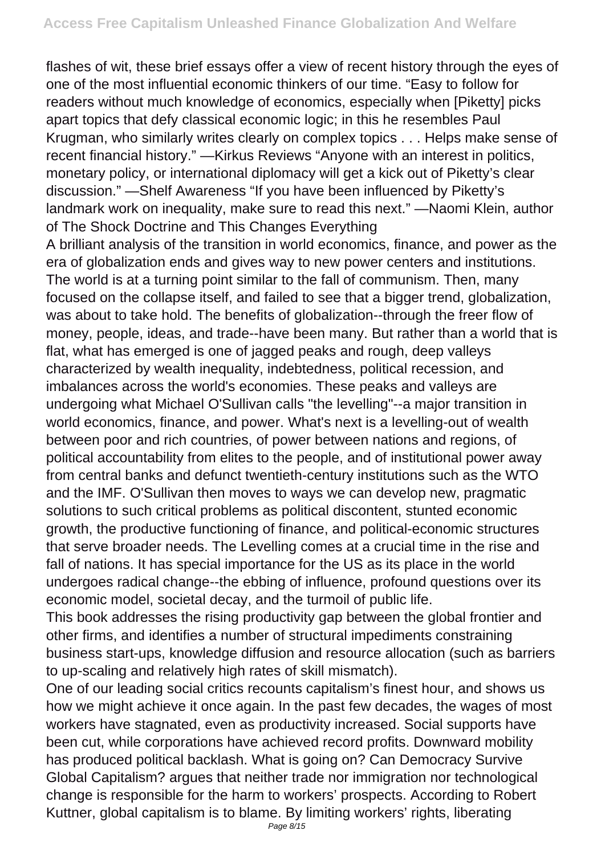flashes of wit, these brief essays offer a view of recent history through the eyes of one of the most influential economic thinkers of our time. "Easy to follow for readers without much knowledge of economics, especially when [Piketty] picks apart topics that defy classical economic logic; in this he resembles Paul Krugman, who similarly writes clearly on complex topics . . . Helps make sense of recent financial history." —Kirkus Reviews "Anyone with an interest in politics, monetary policy, or international diplomacy will get a kick out of Piketty's clear discussion." —Shelf Awareness "If you have been influenced by Piketty's landmark work on inequality, make sure to read this next." —Naomi Klein, author of The Shock Doctrine and This Changes Everything

A brilliant analysis of the transition in world economics, finance, and power as the era of globalization ends and gives way to new power centers and institutions. The world is at a turning point similar to the fall of communism. Then, many focused on the collapse itself, and failed to see that a bigger trend, globalization, was about to take hold. The benefits of globalization--through the freer flow of money, people, ideas, and trade--have been many. But rather than a world that is flat, what has emerged is one of jagged peaks and rough, deep valleys characterized by wealth inequality, indebtedness, political recession, and imbalances across the world's economies. These peaks and valleys are undergoing what Michael O'Sullivan calls "the levelling"--a major transition in world economics, finance, and power. What's next is a levelling-out of wealth between poor and rich countries, of power between nations and regions, of political accountability from elites to the people, and of institutional power away from central banks and defunct twentieth-century institutions such as the WTO and the IMF. O'Sullivan then moves to ways we can develop new, pragmatic solutions to such critical problems as political discontent, stunted economic growth, the productive functioning of finance, and political-economic structures that serve broader needs. The Levelling comes at a crucial time in the rise and fall of nations. It has special importance for the US as its place in the world undergoes radical change--the ebbing of influence, profound questions over its economic model, societal decay, and the turmoil of public life.

This book addresses the rising productivity gap between the global frontier and other firms, and identifies a number of structural impediments constraining business start-ups, knowledge diffusion and resource allocation (such as barriers to up-scaling and relatively high rates of skill mismatch).

One of our leading social critics recounts capitalism's finest hour, and shows us how we might achieve it once again. In the past few decades, the wages of most workers have stagnated, even as productivity increased. Social supports have been cut, while corporations have achieved record profits. Downward mobility has produced political backlash. What is going on? Can Democracy Survive Global Capitalism? argues that neither trade nor immigration nor technological change is responsible for the harm to workers' prospects. According to Robert Kuttner, global capitalism is to blame. By limiting workers' rights, liberating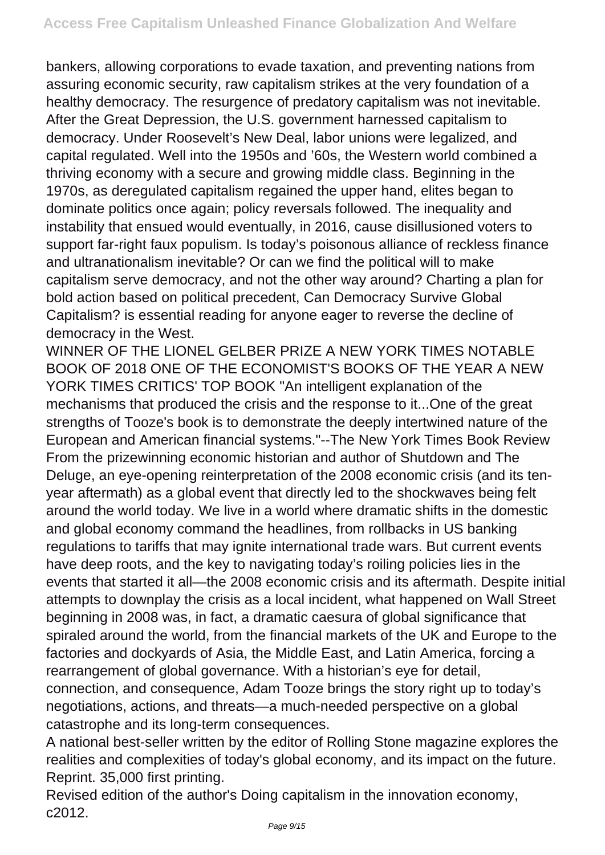bankers, allowing corporations to evade taxation, and preventing nations from assuring economic security, raw capitalism strikes at the very foundation of a healthy democracy. The resurgence of predatory capitalism was not inevitable. After the Great Depression, the U.S. government harnessed capitalism to democracy. Under Roosevelt's New Deal, labor unions were legalized, and capital regulated. Well into the 1950s and '60s, the Western world combined a thriving economy with a secure and growing middle class. Beginning in the 1970s, as deregulated capitalism regained the upper hand, elites began to dominate politics once again; policy reversals followed. The inequality and instability that ensued would eventually, in 2016, cause disillusioned voters to support far-right faux populism. Is today's poisonous alliance of reckless finance and ultranationalism inevitable? Or can we find the political will to make capitalism serve democracy, and not the other way around? Charting a plan for bold action based on political precedent, Can Democracy Survive Global Capitalism? is essential reading for anyone eager to reverse the decline of democracy in the West.

WINNER OF THE LIONEL GELBER PRIZE A NEW YORK TIMES NOTABLE BOOK OF 2018 ONE OF THE ECONOMIST'S BOOKS OF THE YEAR A NEW YORK TIMES CRITICS' TOP BOOK "An intelligent explanation of the mechanisms that produced the crisis and the response to it...One of the great strengths of Tooze's book is to demonstrate the deeply intertwined nature of the European and American financial systems."--The New York Times Book Review From the prizewinning economic historian and author of Shutdown and The Deluge, an eye-opening reinterpretation of the 2008 economic crisis (and its tenyear aftermath) as a global event that directly led to the shockwaves being felt around the world today. We live in a world where dramatic shifts in the domestic and global economy command the headlines, from rollbacks in US banking regulations to tariffs that may ignite international trade wars. But current events have deep roots, and the key to navigating today's roiling policies lies in the events that started it all—the 2008 economic crisis and its aftermath. Despite initial attempts to downplay the crisis as a local incident, what happened on Wall Street beginning in 2008 was, in fact, a dramatic caesura of global significance that spiraled around the world, from the financial markets of the UK and Europe to the factories and dockyards of Asia, the Middle East, and Latin America, forcing a rearrangement of global governance. With a historian's eye for detail, connection, and consequence, Adam Tooze brings the story right up to today's negotiations, actions, and threats—a much-needed perspective on a global catastrophe and its long-term consequences.

A national best-seller written by the editor of Rolling Stone magazine explores the realities and complexities of today's global economy, and its impact on the future. Reprint. 35,000 first printing.

Revised edition of the author's Doing capitalism in the innovation economy, c2012.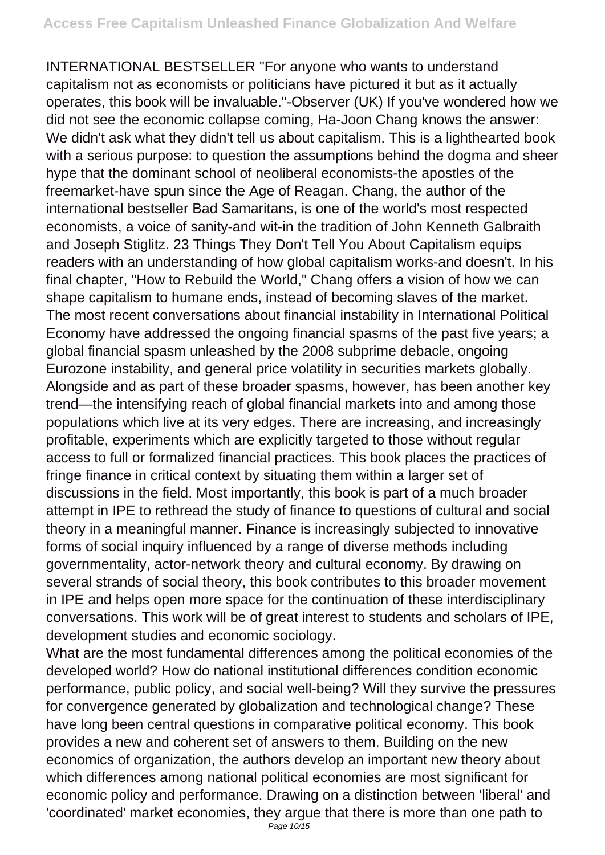INTERNATIONAL BESTSELLER "For anyone who wants to understand capitalism not as economists or politicians have pictured it but as it actually operates, this book will be invaluable."-Observer (UK) If you've wondered how we did not see the economic collapse coming, Ha-Joon Chang knows the answer: We didn't ask what they didn't tell us about capitalism. This is a lighthearted book with a serious purpose: to question the assumptions behind the dogma and sheer hype that the dominant school of neoliberal economists-the apostles of the freemarket-have spun since the Age of Reagan. Chang, the author of the international bestseller Bad Samaritans, is one of the world's most respected economists, a voice of sanity-and wit-in the tradition of John Kenneth Galbraith and Joseph Stiglitz. 23 Things They Don't Tell You About Capitalism equips readers with an understanding of how global capitalism works-and doesn't. In his final chapter, "How to Rebuild the World," Chang offers a vision of how we can shape capitalism to humane ends, instead of becoming slaves of the market. The most recent conversations about financial instability in International Political Economy have addressed the ongoing financial spasms of the past five years; a global financial spasm unleashed by the 2008 subprime debacle, ongoing Eurozone instability, and general price volatility in securities markets globally. Alongside and as part of these broader spasms, however, has been another key trend—the intensifying reach of global financial markets into and among those populations which live at its very edges. There are increasing, and increasingly profitable, experiments which are explicitly targeted to those without regular access to full or formalized financial practices. This book places the practices of fringe finance in critical context by situating them within a larger set of discussions in the field. Most importantly, this book is part of a much broader attempt in IPE to rethread the study of finance to questions of cultural and social theory in a meaningful manner. Finance is increasingly subjected to innovative forms of social inquiry influenced by a range of diverse methods including governmentality, actor-network theory and cultural economy. By drawing on several strands of social theory, this book contributes to this broader movement in IPE and helps open more space for the continuation of these interdisciplinary conversations. This work will be of great interest to students and scholars of IPE, development studies and economic sociology.

What are the most fundamental differences among the political economies of the developed world? How do national institutional differences condition economic performance, public policy, and social well-being? Will they survive the pressures for convergence generated by globalization and technological change? These have long been central questions in comparative political economy. This book provides a new and coherent set of answers to them. Building on the new economics of organization, the authors develop an important new theory about which differences among national political economies are most significant for economic policy and performance. Drawing on a distinction between 'liberal' and 'coordinated' market economies, they argue that there is more than one path to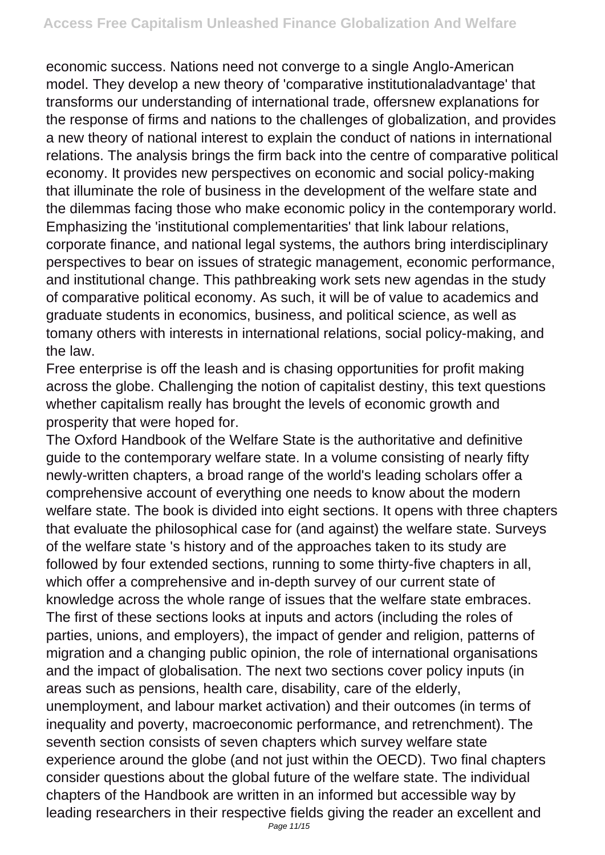economic success. Nations need not converge to a single Anglo-American model. They develop a new theory of 'comparative institutionaladvantage' that transforms our understanding of international trade, offersnew explanations for the response of firms and nations to the challenges of globalization, and provides a new theory of national interest to explain the conduct of nations in international relations. The analysis brings the firm back into the centre of comparative political economy. It provides new perspectives on economic and social policy-making that illuminate the role of business in the development of the welfare state and the dilemmas facing those who make economic policy in the contemporary world. Emphasizing the 'institutional complementarities' that link labour relations, corporate finance, and national legal systems, the authors bring interdisciplinary perspectives to bear on issues of strategic management, economic performance, and institutional change. This pathbreaking work sets new agendas in the study of comparative political economy. As such, it will be of value to academics and graduate students in economics, business, and political science, as well as tomany others with interests in international relations, social policy-making, and the law.

Free enterprise is off the leash and is chasing opportunities for profit making across the globe. Challenging the notion of capitalist destiny, this text questions whether capitalism really has brought the levels of economic growth and prosperity that were hoped for.

The Oxford Handbook of the Welfare State is the authoritative and definitive guide to the contemporary welfare state. In a volume consisting of nearly fifty newly-written chapters, a broad range of the world's leading scholars offer a comprehensive account of everything one needs to know about the modern welfare state. The book is divided into eight sections. It opens with three chapters that evaluate the philosophical case for (and against) the welfare state. Surveys of the welfare state 's history and of the approaches taken to its study are followed by four extended sections, running to some thirty-five chapters in all, which offer a comprehensive and in-depth survey of our current state of knowledge across the whole range of issues that the welfare state embraces. The first of these sections looks at inputs and actors (including the roles of parties, unions, and employers), the impact of gender and religion, patterns of migration and a changing public opinion, the role of international organisations and the impact of globalisation. The next two sections cover policy inputs (in areas such as pensions, health care, disability, care of the elderly, unemployment, and labour market activation) and their outcomes (in terms of inequality and poverty, macroeconomic performance, and retrenchment). The seventh section consists of seven chapters which survey welfare state experience around the globe (and not just within the OECD). Two final chapters consider questions about the global future of the welfare state. The individual chapters of the Handbook are written in an informed but accessible way by leading researchers in their respective fields giving the reader an excellent and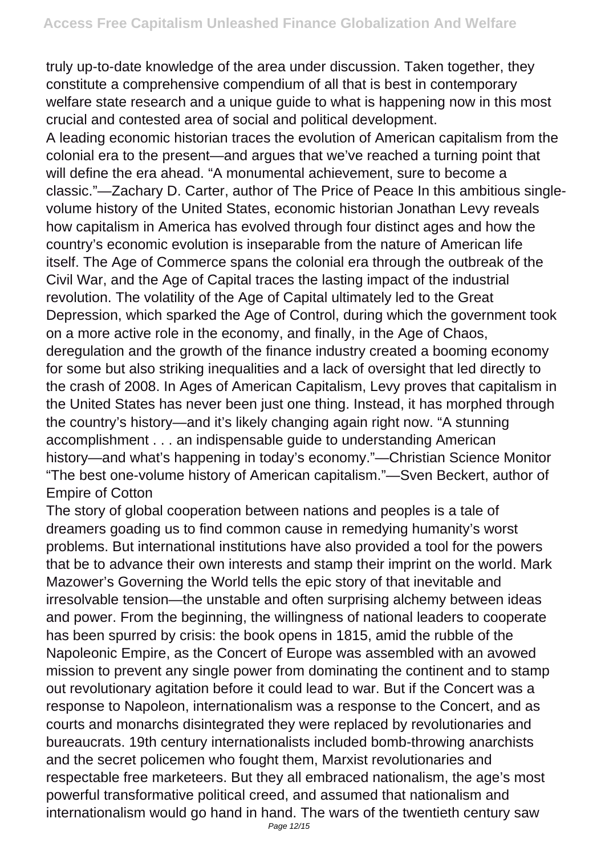truly up-to-date knowledge of the area under discussion. Taken together, they constitute a comprehensive compendium of all that is best in contemporary welfare state research and a unique guide to what is happening now in this most crucial and contested area of social and political development.

A leading economic historian traces the evolution of American capitalism from the colonial era to the present—and argues that we've reached a turning point that will define the era ahead. "A monumental achievement, sure to become a classic."—Zachary D. Carter, author of The Price of Peace In this ambitious singlevolume history of the United States, economic historian Jonathan Levy reveals how capitalism in America has evolved through four distinct ages and how the country's economic evolution is inseparable from the nature of American life itself. The Age of Commerce spans the colonial era through the outbreak of the Civil War, and the Age of Capital traces the lasting impact of the industrial revolution. The volatility of the Age of Capital ultimately led to the Great Depression, which sparked the Age of Control, during which the government took on a more active role in the economy, and finally, in the Age of Chaos, deregulation and the growth of the finance industry created a booming economy for some but also striking inequalities and a lack of oversight that led directly to the crash of 2008. In Ages of American Capitalism, Levy proves that capitalism in the United States has never been just one thing. Instead, it has morphed through the country's history—and it's likely changing again right now. "A stunning accomplishment . . . an indispensable guide to understanding American history—and what's happening in today's economy."—Christian Science Monitor "The best one-volume history of American capitalism."—Sven Beckert, author of Empire of Cotton

The story of global cooperation between nations and peoples is a tale of dreamers goading us to find common cause in remedying humanity's worst problems. But international institutions have also provided a tool for the powers that be to advance their own interests and stamp their imprint on the world. Mark Mazower's Governing the World tells the epic story of that inevitable and irresolvable tension—the unstable and often surprising alchemy between ideas and power. From the beginning, the willingness of national leaders to cooperate has been spurred by crisis: the book opens in 1815, amid the rubble of the Napoleonic Empire, as the Concert of Europe was assembled with an avowed mission to prevent any single power from dominating the continent and to stamp out revolutionary agitation before it could lead to war. But if the Concert was a response to Napoleon, internationalism was a response to the Concert, and as courts and monarchs disintegrated they were replaced by revolutionaries and bureaucrats. 19th century internationalists included bomb-throwing anarchists and the secret policemen who fought them, Marxist revolutionaries and respectable free marketeers. But they all embraced nationalism, the age's most powerful transformative political creed, and assumed that nationalism and internationalism would go hand in hand. The wars of the twentieth century saw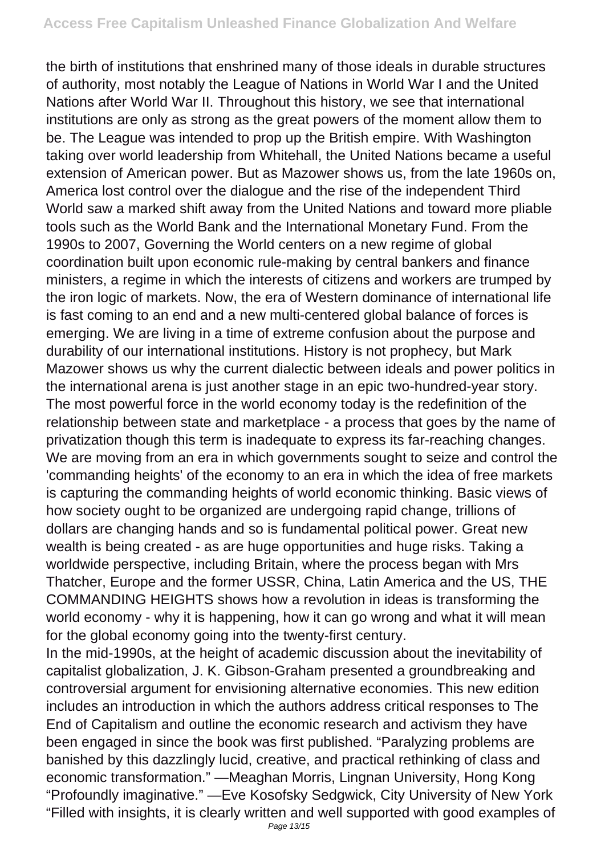the birth of institutions that enshrined many of those ideals in durable structures of authority, most notably the League of Nations in World War I and the United Nations after World War II. Throughout this history, we see that international institutions are only as strong as the great powers of the moment allow them to be. The League was intended to prop up the British empire. With Washington taking over world leadership from Whitehall, the United Nations became a useful extension of American power. But as Mazower shows us, from the late 1960s on, America lost control over the dialogue and the rise of the independent Third World saw a marked shift away from the United Nations and toward more pliable tools such as the World Bank and the International Monetary Fund. From the 1990s to 2007, Governing the World centers on a new regime of global coordination built upon economic rule-making by central bankers and finance ministers, a regime in which the interests of citizens and workers are trumped by the iron logic of markets. Now, the era of Western dominance of international life is fast coming to an end and a new multi-centered global balance of forces is emerging. We are living in a time of extreme confusion about the purpose and durability of our international institutions. History is not prophecy, but Mark Mazower shows us why the current dialectic between ideals and power politics in the international arena is just another stage in an epic two-hundred-year story. The most powerful force in the world economy today is the redefinition of the relationship between state and marketplace - a process that goes by the name of privatization though this term is inadequate to express its far-reaching changes. We are moving from an era in which governments sought to seize and control the 'commanding heights' of the economy to an era in which the idea of free markets is capturing the commanding heights of world economic thinking. Basic views of how society ought to be organized are undergoing rapid change, trillions of dollars are changing hands and so is fundamental political power. Great new wealth is being created - as are huge opportunities and huge risks. Taking a worldwide perspective, including Britain, where the process began with Mrs Thatcher, Europe and the former USSR, China, Latin America and the US, THE COMMANDING HEIGHTS shows how a revolution in ideas is transforming the world economy - why it is happening, how it can go wrong and what it will mean for the global economy going into the twenty-first century.

In the mid-1990s, at the height of academic discussion about the inevitability of capitalist globalization, J. K. Gibson-Graham presented a groundbreaking and controversial argument for envisioning alternative economies. This new edition includes an introduction in which the authors address critical responses to The End of Capitalism and outline the economic research and activism they have been engaged in since the book was first published. "Paralyzing problems are banished by this dazzlingly lucid, creative, and practical rethinking of class and economic transformation." —Meaghan Morris, Lingnan University, Hong Kong "Profoundly imaginative." —Eve Kosofsky Sedgwick, City University of New York "Filled with insights, it is clearly written and well supported with good examples of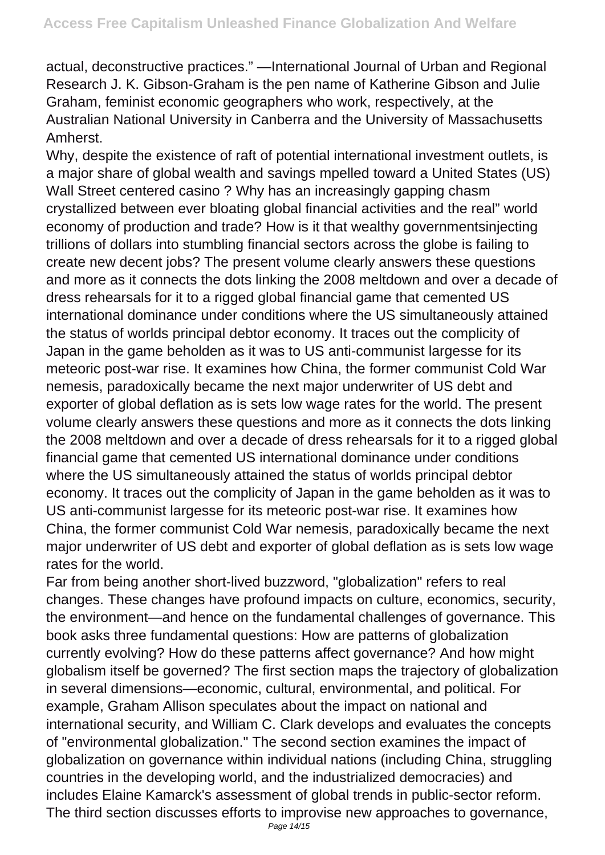actual, deconstructive practices." —International Journal of Urban and Regional Research J. K. Gibson-Graham is the pen name of Katherine Gibson and Julie Graham, feminist economic geographers who work, respectively, at the Australian National University in Canberra and the University of Massachusetts Amherst.

Why, despite the existence of raft of potential international investment outlets, is a major share of global wealth and savings mpelled toward a United States (US) Wall Street centered casino ? Why has an increasingly gapping chasm crystallized between ever bloating global financial activities and the real" world economy of production and trade? How is it that wealthy governmentsinjecting trillions of dollars into stumbling financial sectors across the globe is failing to create new decent jobs? The present volume clearly answers these questions and more as it connects the dots linking the 2008 meltdown and over a decade of dress rehearsals for it to a rigged global financial game that cemented US international dominance under conditions where the US simultaneously attained the status of worlds principal debtor economy. It traces out the complicity of Japan in the game beholden as it was to US anti-communist largesse for its meteoric post-war rise. It examines how China, the former communist Cold War nemesis, paradoxically became the next major underwriter of US debt and exporter of global deflation as is sets low wage rates for the world. The present volume clearly answers these questions and more as it connects the dots linking the 2008 meltdown and over a decade of dress rehearsals for it to a rigged global financial game that cemented US international dominance under conditions where the US simultaneously attained the status of worlds principal debtor economy. It traces out the complicity of Japan in the game beholden as it was to US anti-communist largesse for its meteoric post-war rise. It examines how China, the former communist Cold War nemesis, paradoxically became the next major underwriter of US debt and exporter of global deflation as is sets low wage rates for the world.

Far from being another short-lived buzzword, "globalization" refers to real changes. These changes have profound impacts on culture, economics, security, the environment—and hence on the fundamental challenges of governance. This book asks three fundamental questions: How are patterns of globalization currently evolving? How do these patterns affect governance? And how might globalism itself be governed? The first section maps the trajectory of globalization in several dimensions—economic, cultural, environmental, and political. For example, Graham Allison speculates about the impact on national and international security, and William C. Clark develops and evaluates the concepts of "environmental globalization." The second section examines the impact of globalization on governance within individual nations (including China, struggling countries in the developing world, and the industrialized democracies) and includes Elaine Kamarck's assessment of global trends in public-sector reform. The third section discusses efforts to improvise new approaches to governance,